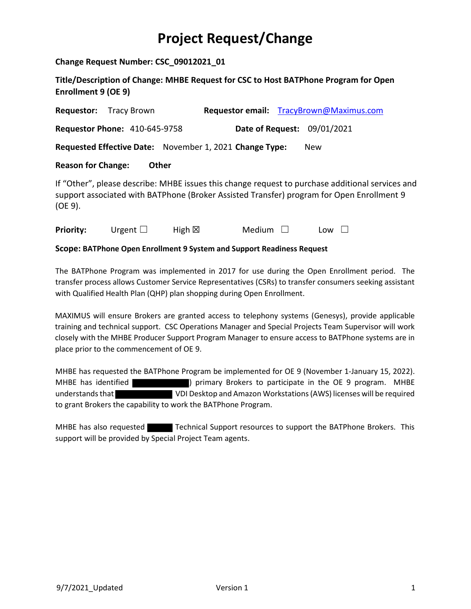## **Project Request/Change**

**Change Request Number: CSC\_09012021\_01**

**Title/Description of Change: MHBE Request for CSC to Host BATPhone Program for Open Enrollment 9 (OE 9)**

| Requestor:                                                                                                                                                                                               | Tracy Brown                                             |                  |               |  | Requestor email: TracyBrown@Maximus.com |  |  |  |
|----------------------------------------------------------------------------------------------------------------------------------------------------------------------------------------------------------|---------------------------------------------------------|------------------|---------------|--|-----------------------------------------|--|--|--|
|                                                                                                                                                                                                          | <b>Requestor Phone: 410-645-9758</b>                    |                  |               |  | Date of Request: 09/01/2021             |  |  |  |
|                                                                                                                                                                                                          | Requested Effective Date: November 1, 2021 Change Type: |                  |               |  | <b>New</b>                              |  |  |  |
| <b>Reason for Change:</b><br><b>Other</b>                                                                                                                                                                |                                                         |                  |               |  |                                         |  |  |  |
| If "Other", please describe: MHBE issues this change request to purchase additional services and<br>support associated with BATPhone (Broker Assisted Transfer) program for Open Enrollment 9<br>(OE 9). |                                                         |                  |               |  |                                         |  |  |  |
| <b>Priority:</b>                                                                                                                                                                                         | Urgent $\Box$                                           | High $\boxtimes$ | <b>Medium</b> |  | Low                                     |  |  |  |

**Scope: BATPhone Open Enrollment 9 System and Support Readiness Request**

The BATPhone Program was implemented in 2017 for use during the Open Enrollment period. The transfer process allows Customer Service Representatives (CSRs) to transfer consumers seeking assistant with Qualified Health Plan (QHP) plan shopping during Open Enrollment.

MAXIMUS will ensure Brokers are granted access to telephony systems (Genesys), provide applicable training and technical support. CSC Operations Manager and Special Projects Team Supervisor will work closely with the MHBE Producer Support Program Manager to ensure access to BATPhone systems are in place prior to the commencement of OE 9.

MHBE has requested the BATPhone Program be implemented for OE 9 (November 1-January 15, 2022). MHBE has identified ) primary Brokers to participate in the OE 9 program. MHBE understands that VDI Desktop and Amazon Workstations (AWS) licenses will be required to grant Brokers the capability to work the BATPhone Program.

MHBE has also requested Technical Support resources to support the BATPhone Brokers. This support will be provided by Special Project Team agents.